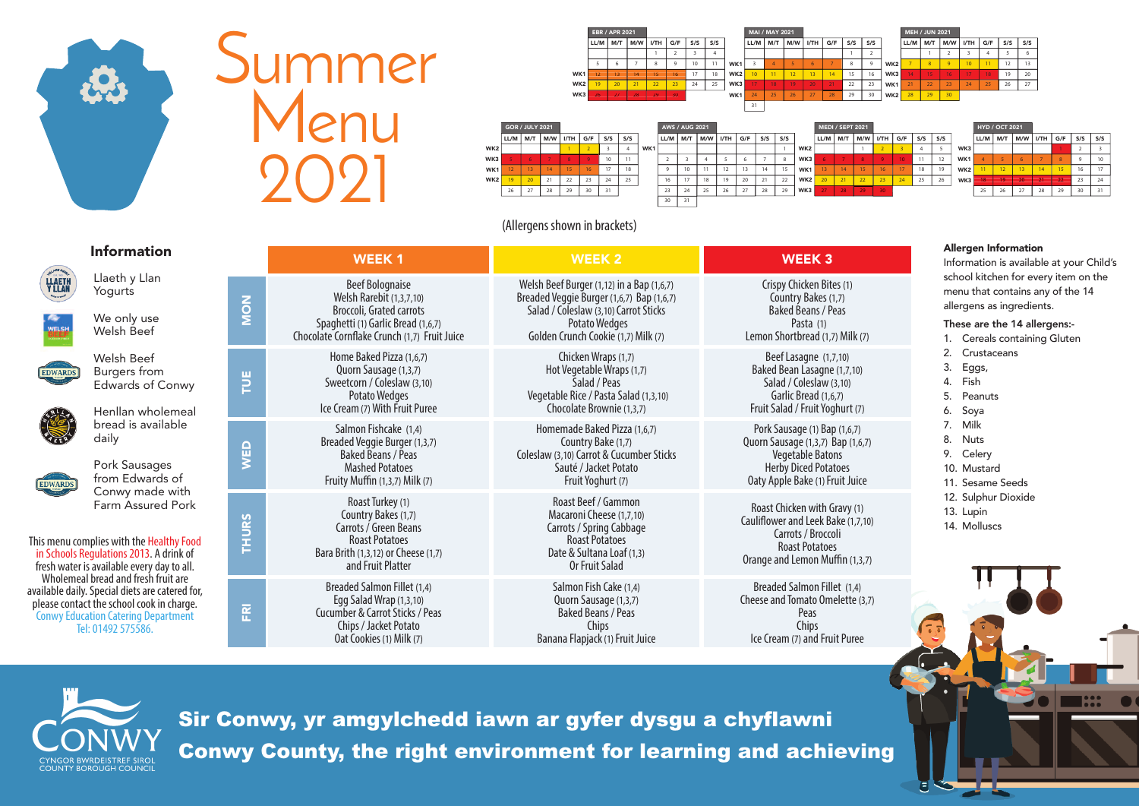Sir Conwy, yr amgylchedd iawn ar gyfer dysgu a chyflawni Conwy County, the right environment for learning and achieving



# Summer Menu

|                 |    | GOR / JULY 2021 |                                       |                |      |                      |     |     | <b>AWS / AUG 2021</b>         |              |                 |    |              |              |     |                                   |    | <b>MEDI / SEPT 2021</b> |  |             |     |     | <b>HYD / OCT 2021</b> |                                   |    |    |             |    |
|-----------------|----|-----------------|---------------------------------------|----------------|------|----------------------|-----|-----|-------------------------------|--------------|-----------------|----|--------------|--------------|-----|-----------------------------------|----|-------------------------|--|-------------|-----|-----|-----------------------|-----------------------------------|----|----|-------------|----|
|                 |    |                 | $ LL/M $ M/T $ M/W $ I/TH $ G/F $ S/S |                |      |                      | S/S |     | LL/M   M/T   M/W   I/TH   G/F |              |                 |    | S/S          | S/S          |     | $ LL/M $ M/T $ M/W $ I/TH $ G/F $ |    |                         |  | $ $ S/S $ $ | S/S |     |                       | $ LL/M $ M/T $ M/W $ I/TH $ GHF $ |    |    | $S/S$ $S/S$ |    |
| WK <sub>2</sub> |    |                 |                                       |                |      |                      |     | WK1 |                               |              |                 |    |              |              | WK2 |                                   |    |                         |  |             |     | WK3 |                       |                                   |    |    |             |    |
| WK3             |    |                 |                                       |                |      | 10                   | 11  |     |                               |              |                 |    |              |              | WK3 |                                   |    |                         |  | 11          | 12  | WK1 |                       |                                   |    |    |             |    |
| WK1             |    |                 |                                       | 1 <sup>2</sup> | 16   | 17                   | 18  |     |                               |              | 12<br>$\sim$    |    | 14           | 15           | WK1 |                                   | 14 | 15                      |  | 18          | 19  | WK2 |                       |                                   |    |    | 16          | 17 |
| WK2             |    |                 | 21<br>$\sim$ 1                        | 22             | - 23 | $\sim$ $\sim$<br>-44 | 25  |     | 16                            |              | 10 <sup>1</sup> | ∠∪ | $\sim$ 1     | $\sim$<br>22 | WK2 |                                   |    | 22                      |  | 25          | ZO  | WK3 | 19.                   | 20.                               |    |    | 23          | 24 |
|                 | 26 |                 | $\sim$<br>20                          | 29             | ັບ   |                      |     |     | 23                            | $\sim$<br>25 | $\sim$          |    | $\sim$<br>zŏ | 29           | WK3 |                                   | 28 | 29                      |  |             |     |     |                       | 77                                | 28 | 29 | 20          |    |
|                 |    |                 |                                       |                |      |                      |     |     | 30                            |              |                 |    |              |              |     |                                   |    |                         |  |             |     |     |                       |                                   |    |    |             |    |
|                 |    |                 |                                       |                |      |                      |     |     |                               |              |                 |    |              |              |     |                                   |    |                         |  |             |     |     |                       |                                   |    |    |             |    |

|                 | <b>GOR / JULY 2021</b> |                 |     |      |                |     |     |     |                          | <b>AWS / AUG 2021</b> |     |      |     |     |     |                 |
|-----------------|------------------------|-----------------|-----|------|----------------|-----|-----|-----|--------------------------|-----------------------|-----|------|-----|-----|-----|-----------------|
|                 | LL/M                   | M/T             | M/W | I/TH | G/F            | S/S | S/S |     | LL/M                     | M/T                   | M/W | I/TH | G/F | S/S | S/S |                 |
| WK <sub>2</sub> |                        |                 |     |      | $\overline{2}$ |     | 4   | WK1 |                          |                       |     |      |     |     |     | WK <sub>2</sub> |
| WK3             |                        | 6               |     | 8    | 9              | 10  | 11  |     | $\overline{\phantom{a}}$ | 3                     |     |      | 6   |     | 8   | WK3             |
| WK1             | 12                     | 13              | 14  | 15   | 16             | 17  | 18  |     | 9                        | 10                    | 11  | 12   | 13  | 14  | 15  | WK1             |
| WK <sub>2</sub> | 19                     | 20 <sup>2</sup> | 21  | 22   | 23             | 24  | 25  |     | 16                       | 17                    | 18  | 19   | 20  | 21  | 22  | WK <sub>2</sub> |
|                 | 26                     | 27              | 28  | 29   | 30             | 31  |     |     | 23                       | 24                    | 25  | 26   | 27  | 28  | 29  | WK3             |
|                 |                        |                 |     |      |                |     |     |     | 20                       | 21                    |     |      |     |     |     |                 |

|                 | <b>EBR / APR 2021</b> |                 |     |      |          |     | <b>MAI / MAY 2021</b> |                 |                 |           |                 |                 |                          |     | <b>MEH / JUN 2021</b> |                 |      |       |          |                 |                |     |     |
|-----------------|-----------------------|-----------------|-----|------|----------|-----|-----------------------|-----------------|-----------------|-----------|-----------------|-----------------|--------------------------|-----|-----------------------|-----------------|------|-------|----------|-----------------|----------------|-----|-----|
|                 | LL/M                  | M/T             | M/W | I/TH | G/F      | S/S | S/S                   |                 | LL/M            | M/T       | M/W             | I/TH            | G/F                      | S/S | S/S                   |                 | LL/M | M/T   | M/W      | I/TH            | G/F            | S/S | S/S |
|                 |                       |                 |     |      |          |     |                       |                 |                 |           |                 |                 |                          |     |                       |                 |      |       |          |                 |                |     |     |
|                 |                       |                 |     | 8    | $\Omega$ | 10  |                       | WK <sub>1</sub> |                 |           |                 |                 | $\overline{\phantom{a}}$ | o   | $\Omega$              | WK <sub>2</sub> |      | 8     | $\alpha$ | 10 <sup>1</sup> | $\overline{1}$ | 12  | 13  |
| WK <sub>1</sub> |                       | 13              | 14  | 15   | 16       | 17  | 18                    | WK <sub>2</sub> | 10 <sup>°</sup> | 11        | 12 <sup>1</sup> | 13 <sup>°</sup> | 14                       | 15  | 16                    | WK3             | 14   | $-15$ | 16       | 17              | 18             | 19  | 20  |
| WK <sub>2</sub> | $\overline{q}$        | 20 <sub>1</sub> | 71  | 22   | 23       | 24  | 25                    | WK3             | 17              | 18        | 19              | 20              | 21                       | 22  | 23                    | WK <sub>1</sub> | 21   | 22    | 23       | 24              | 25             | 26  | 27  |
| WK3             | 26                    | 27              | 28  | 29   | 30       |     |                       | WK1             | 24              | DE.<br>دے | 26              | 77              | 28                       | 29  | 30                    | WK <sub>2</sub> | 28   | 29    | 30       |                 |                |     |     |
|                 |                       |                 |     |      |          |     |                       |                 | 31              |           |                 |                 |                          |     |                       |                 |      |       |          |                 |                |     |     |

(Allergens shown in brackets)

|                                                                                                                                                                                                         | <b>Information</b>                                                                                                                                                        |                                                                                                                                                                                                                                                                                                 | <b>WEEK1</b>                                                                                                                                                     | <b>WEEK 2</b>                                                                                                                                              | <b>WEEK3</b>                                                                                                                                                   | <b>Allergen Information</b><br>Information is availab                        |
|---------------------------------------------------------------------------------------------------------------------------------------------------------------------------------------------------------|---------------------------------------------------------------------------------------------------------------------------------------------------------------------------|-------------------------------------------------------------------------------------------------------------------------------------------------------------------------------------------------------------------------------------------------------------------------------------------------|------------------------------------------------------------------------------------------------------------------------------------------------------------------|------------------------------------------------------------------------------------------------------------------------------------------------------------|----------------------------------------------------------------------------------------------------------------------------------------------------------------|------------------------------------------------------------------------------|
| <b>LLAETH</b><br>Y LLAN                                                                                                                                                                                 | Llaeth y Llan<br>Yogurts                                                                                                                                                  | NON                                                                                                                                                                                                                                                                                             | <b>Beef Bolognaise</b><br>Welsh Rarebit (1,3,7,10)<br>Broccoli, Grated carrots                                                                                   | Welsh Beef Burger (1,12) in a Bap (1,6,7)<br>Breaded Veggie Burger (1,6,7) Bap (1,6,7)<br>Salad / Coleslaw (3,10) Carrot Sticks                            | Crispy Chicken Bites (1)<br>Country Bakes (1,7)<br><b>Baked Beans / Peas</b>                                                                                   | school kitchen for eve<br>menu that contains ar<br>allergens as ingredien    |
| <b>WELSH</b>                                                                                                                                                                                            | We only use<br>Welsh Beef                                                                                                                                                 |                                                                                                                                                                                                                                                                                                 | Spaghetti (1) Garlic Bread (1,6,7)<br>Chocolate Cornflake Crunch (1,7) Fruit Juice                                                                               | <b>Potato Wedges</b><br>Golden Crunch Cookie (1,7) Milk (7)                                                                                                | Pasta (1)<br>Lemon Shortbread (1,7) Milk (7)                                                                                                                   | These are the 14 alle<br>Cereals containin                                   |
| <b>EDWARDS</b>                                                                                                                                                                                          | Welsh Beef<br><b>Burgers</b> from<br><b>Edwards of Conwy</b><br>Henllan wholemeal                                                                                         | Home Baked Pizza (1,6,7)<br>Chicken Wraps (1,7)<br>Hot Vegetable Wraps (1,7)<br>Quorn Sausage (1,3,7)<br>$\overline{p}$<br>Sweetcorn / Coleslaw (3,10)<br>Salad / Peas<br>Vegetable Rice / Pasta Salad (1,3,10)<br>Potato Wedges<br>Ice Cream (7) With Fruit Puree<br>Chocolate Brownie (1,3,7) |                                                                                                                                                                  | Beef Lasagne (1,7,10)<br>Baked Bean Lasagne (1,7,10)<br>Salad / Coleslaw (3,10)<br>Garlic Bread (1,6,7)<br>Fruit Salad / Fruit Yoghurt (7)                 | Crustaceans<br>Eggs,<br>Fish<br>5.<br>Peanuts<br>Soya                                                                                                          |                                                                              |
| <b>EDWARDS</b>                                                                                                                                                                                          | bread is available<br>daily<br>Pork Sausages<br>from Edwards of                                                                                                           | WED                                                                                                                                                                                                                                                                                             | Salmon Fishcake (1,4)<br>Breaded Veggie Burger (1,3,7)<br><b>Baked Beans / Peas</b><br><b>Mashed Potatoes</b><br>Fruity Muffin (1,3,7) Milk (7)                  | Homemade Baked Pizza (1,6,7)<br>Country Bake (1,7)<br>Coleslaw (3,10) Carrot & Cucumber Sticks<br>Sauté / Jacket Potato<br>Fruit Yoghurt (7)               | Pork Sausage (1) Bap (1,6,7)<br>Quorn Sausage (1,3,7) Bap (1,6,7)<br><b>Vegetable Batons</b><br><b>Herby Diced Potatoes</b><br>Oaty Apple Bake (1) Fruit Juice | 7. Milk<br><b>Nuts</b><br>8.<br>9. Celery<br>10. Mustard<br>11. Sesame Seeds |
|                                                                                                                                                                                                         | Conwy made with<br>Farm Assured Pork<br>This menu complies with the Healthy Food<br>in Schools Regulations 2013. A drink of<br>fresh water is available every day to all. |                                                                                                                                                                                                                                                                                                 | Roast Turkey (1)<br>Country Bakes (1,7)<br>Carrots / Green Beans<br><b>Roast Potatoes</b><br>Bara Brith (1,3,12) or Cheese (1,7)<br>and Fruit Platter            | Roast Beef / Gammon<br>Macaroni Cheese (1,7,10)<br>Carrots / Spring Cabbage<br><b>Roast Potatoes</b><br>Date & Sultana Loaf (1,3)<br><b>Or Fruit Salad</b> | Roast Chicken with Gravy (1)<br>Cauliflower and Leek Bake (1,7,10)<br>Carrots / Broccoli<br><b>Roast Potatoes</b><br>Orange and Lemon Muffin (1,3,7)           | 12. Sulphur Dioxide<br>13. Lupin<br>14. Molluscs                             |
| Wholemeal bread and fresh fruit are<br>available daily. Special diets are catered for,<br>please contact the school cook in charge.<br><b>Conwy Education Catering Department</b><br>Tel: 01492 575586. |                                                                                                                                                                           | $\overline{R}$                                                                                                                                                                                                                                                                                  | <b>Breaded Salmon Fillet (1,4)</b><br>Egg Salad Wrap (1,3,10)<br><b>Cucumber &amp; Carrot Sticks / Peas</b><br>Chips / Jacket Potato<br>Oat Cookies (1) Milk (7) | Salmon Fish Cake (1,4)<br>Quorn Sausage (1,3,7)<br><b>Baked Beans / Peas</b><br>Chips<br>Banana Flapjack (1) Fruit Juice                                   | Breaded Salmon Fillet (1,4)<br>Cheese and Tomato Omelette (3,7)<br>Peas<br>Chips<br>Ice Cream (7) and Fruit Puree                                              |                                                                              |



Information is available at your Child's school kitchen for every item on the menu that contains any of the 14 allergens as ingredients.

## These are the 14 allergens:-

- 1. Cereals containing Gluten
- 2. Crustaceans
- 3. Eggs,
- 4. Fish
- 5. Peanuts
- 6. Soya
- 7. Milk
- 8. Nuts
- 9. Celery
- 10. Mustard
- 11. Sesame Seeds
- 12. Sulphur Dioxide
- 13. Lupin
- 14. Molluscs

# $,3,7)$

- $(3,7)$
-